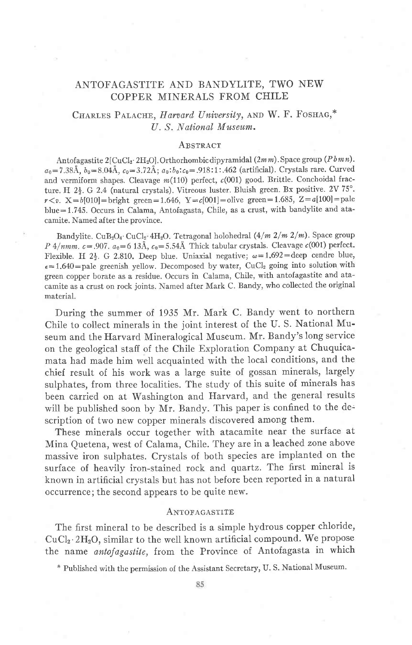# ANTOFAGASTITE AND BANDYLITE, TWO NEW COPPER MINERALS FROM CHILE

## CHARLES PALACHE, Harvard University, AND W. F. FOSHAG,\* U. S. National Museum.

## **A** BSTRACT

Antofagastite 2[CuCl<sub>2</sub>·2H<sub>2</sub>O]. Orthorhombic dipyramidal  $(2mm)$ . Space group (Pbmn).  $a_0 = 7.38\text{\AA}, b_0 = 8.04\text{\AA}, c_0 = 3.72\text{\AA}; a_0:b_0:c_0 = .918:1:462 \text{ (artificial)}.$  Crystals rare. Curved and vermiform shapes. Cleavage  $m(110)$  perfect,  $c(001)$  good. Brittle. Conchoidal fracture. H  $2\frac{1}{2}$ . G 2.4 (natural crystals). Vitreous luster. Bluish green. Bx positive. 2V 75°.  $r < v$ . X=b[010]=bright green=1.646, Y=c[001]=olive green=1.685, Z=a[100]=pale blue=1.745. Occurs in Calama, Antofagasta, Chile, as a crust, with bandylite and atacamite. Named after the province.

Bandylite. CuB<sub>2</sub>O<sub>4</sub>. CuCl<sub>2</sub> 4H<sub>2</sub>O. Tetragonal holohedral  $(4/m 2/m 2/m)$ . Space group P 4/nmm.  $c=.907$ .  $a_0=6$  13Å,  $c_0=5.54$ Å Thick tabular crystals. Cleavage  $c(001)$  perfect. Flexible. H  $2\frac{1}{2}$ . G 2.810. Deep blue. Uniaxial negative;  $\omega=1.692=$ deep cendre blue,  $\epsilon = 1.640 =$  pale greenish yellow. Decomposed by water, CuCl<sub>2</sub> going into solution with green copper borate as a residue. Occurs in Calama, Chile, with antofagastite and atacamite as a crust on rock joints. Named after Mark c. Bandy, who collected the original material.

During the summer of 1935 Mr. Mark C. Bandy went to northern Chile to collect minerals in the joint interest of the U. S. National Museum and the Harvard Mineralogical Museum. Mr. Bandy's long service on the geological staff of the Chile Exploration Company at Chuquicamata had made him well acquainted with the local conditions, and the chief result of his work was a large suite of gossan minerals, largely sulphates, from three localities. The study of this suite of minerals has been carried on at Washington and Harvard, and the general results will be published soon by Mr. Bandy. This paper is confined to the description of two new copper minerals discovered among them.

These minerals occur together with atacamite near the surface at Mina Quetena, west of Calama, Chile. They are in a leached zone above massive iron sulphates. Crystals of both species are implanted on the surface of heavily iron-stained rock and quartz. The first mineral is known in artificial crystals but has not before been reported in a natural occurrence; the second appears to be quite new.

#### ANTOFAGASTITE

The first mineral to be described is a simple hydrous copper chloride, CuClz'2H:O, similar to the well known artificial compound. We propose the name antofagastite, from the Province of Antofagasta in which

\* Published with the permission of the Assistant Secretary, U. S. National Museum'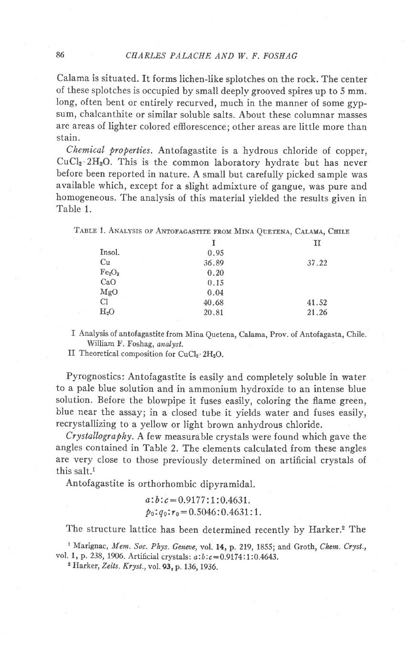Calama is situated. It forms lichen-like splotches on the rock. The center of these splotches is occupied by small deeply grooved spires up to 5 mm. long, often bent or entirely recurved, much in the manner of some gypsum, chalcanthite or similar soluble salts. About these columnar masses are areas of lighter colored efflorescence; other areas are little more than stain.

Chemical properties. Antofagastite is a hydrous chloride of copper,  $CuCl<sub>2</sub>·2H<sub>2</sub>O$ . This is the common laboratory hydrate but has never before been reported in nature. A small but carefully picked sample was available which, except for a slight admixture of gangue, was pure and homogeneous. The analysis of this material yielded the results given in Table 1.

TABLE 1. ANALYSIS OF ANTOFAGASTITE FROM MINA QUETENA, CALAMA, CHILE

|                                |       | п     |
|--------------------------------|-------|-------|
| Insol.                         | 0.95  |       |
| Cu                             | 36.89 | 37.22 |
| Fe <sub>2</sub> O <sub>3</sub> | 0.20  |       |
| CaO                            | 0.15  |       |
| MgO                            | 0.04  |       |
| Сl                             | 40.68 | 41.52 |
| H <sub>2</sub> O               | 20.81 | 21.26 |
|                                |       |       |

I Analysis of antofagastite from Mina Quetena, Calama, Prov. of Antofagasta, Chile. William F. Foshag, onalyst.

II Theoretical composition for  $CuCl<sub>2</sub>·2H<sub>2</sub>O$ .

Pyrognostics: Antofagastite is easily and completely soluble in water to a pale blue solution and in ammonium hydroxide to an intense blue solution. Before the blowpipe it fuses easily, coloring the flame green, blue near the assay; in a closed tube it yields water and fuses easily, recrystallizing to a yellow or light brown anhydrous chloride.

 $C<sub>rystallography</sub>$ . A few measurable crystals were found which gave the angles contained in Table 2. The elements calculated from these angles are very close to those previously determined on artificial crystals of this salt.<sup>1</sup>

Antofagastite is orthorhombic dipyramidal.

 $a:b:c = 0.9177:1:0.4631.$  $p_0: q_0: r_0 = 0.5046 : 0.4631 : 1.$ 

The structure lattice has been determined recently by Harker.<sup>2</sup> The

<sup>1</sup> Marignac, Mem. Soc. Phys. Geneve, vol. 14, p. 219, 1855; and Groth, Chem. Cryst., vol. 1, p. 238, 1906. Artificial crystals:  $a:b:c=0.9174:1:0.4643$ .

<sup>2</sup> Harker, Zeits. Kryst., vol. 93, p. 136, 1936.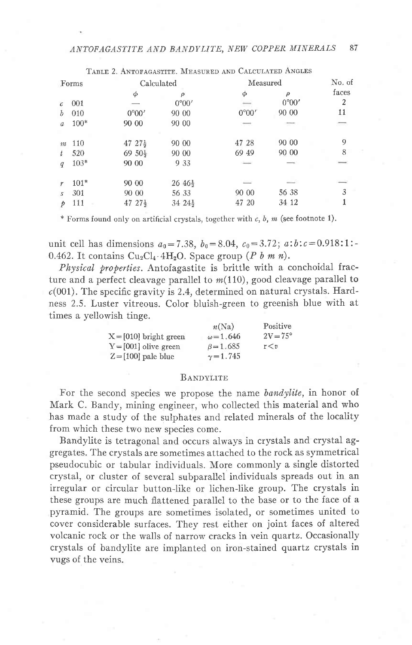|            |        |                     | TABLE Z. ANTOFAGASTITE. MEASURED AND CALCULATED ANGLES |          |       |        |
|------------|--------|---------------------|--------------------------------------------------------|----------|-------|--------|
| Forms      |        | Calculated          |                                                        | Measured |       | No. of |
|            |        | φ                   | ρ                                                      | Φ        | ρ     | faces  |
| $\epsilon$ | 001    |                     | 0°00'                                                  |          | 0°00' | 2      |
| b          | 010    | 0°00'               | 90 00                                                  | 0°00'    | 90 00 | 11     |
| a          | $100*$ | 90 00               | 90 00                                                  |          |       | -      |
|            |        |                     |                                                        |          |       |        |
| m          | 110    | $47\;27\frac{1}{2}$ | 90 00                                                  | 47 28    | 90 00 | 9      |
| t          | 520    | $69\,50\frac{1}{2}$ | 90 00                                                  | 69 49    | 90 00 | 8      |
| q          | $103*$ | 90 00               | 9 3 3                                                  |          |       |        |
| r          | $101*$ | 90 00               | $26\;46\frac{1}{2}$                                    |          |       |        |
| Z.         | 301    | 90 00               | 56 33                                                  | 90 00    | 56 38 | 3      |
|            | 111    | $4727\frac{1}{2}$   | $34.24\frac{1}{2}$                                     | 47 20    | 34 12 |        |
|            |        |                     |                                                        |          |       |        |

\* Forms found only on artificial crystals, together with  $c$ ,  $b$ ,  $m$  (see footnote 1).

unit cell has dimensions  $a_0 = 7.38$ ,  $b_0 = 8.04$ ,  $c_0 = 3.72$ ;  $a:b:c = 0.918:1:-$ 0.462. It contains  $Cu_2Cl_4 \tcdot 4H_2O$ . Space group (P b m n).

Physical properties. Antofagastite is brittle with a conchoidal fracture and a perfect cleavage parallel to  $m(110)$ , good cleavage parallel to  $c(001)$ . The specific gravity is 2.4, determined on natural crystals. Hardness 2.5. Luster vitreous. Color bluish-green to greenish blue with at times a yellowish tinge.

|                          | n(Na)            | Positive          |
|--------------------------|------------------|-------------------|
| $X = [010]$ bright green | $\omega = 1.646$ | $2V = 75^{\circ}$ |
| $Y = [001]$ olive green  | $\beta = 1.685$  | r < v             |
| $Z=[100]$ pale blue      | $\gamma = 1.745$ |                   |

#### **BANDYLITE**

For the second species we propose the name bandylite, in honor of Mark C. Bandy, mining engineer, who collected this material and who has made a study of the sulphates and related minerals of the locality from which these two new species come.

Bandylite is tetragonal and occurs always in crystals and crystal aggregates. The crystals are sometimes attached to the rock as symmetrical pseudocubic or tabular individuals. More commonly a single distorted crystal, or cluster of several subparallel individuals spreads out in an irregular or circular button-like or lichen-like group. The crystals in these groups are much flattened parallel to the base or to the face of a pyramid. The groups are sometimes isolated, or sometimes united to cover considerable surfaces. They rest either on joint faces of altered volcanic rock or the walls of narrow cracks in vein quartz. Occasionally crystals of bandylite are implanted on iron-stained quartz crystals in vugs of the veins.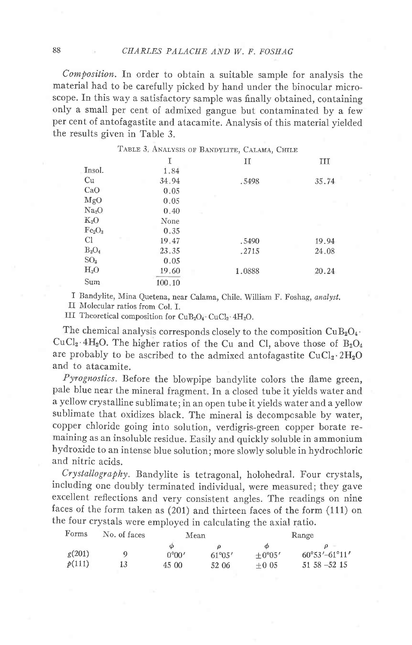$Composition$ . In order to obtain a suitable sample for analysis the material had to be carefully picked by hand under the binocular microscope. In this way a satisfactory sample was finally obtained, containing only a small per cent of admixed gangue but contaminated by a few per cent of antofagastite and atacamite. Analysis of this material yielded the results given in Table 3.

|                                | TABLE 3. ANALYSIS OF BANDYLITE, CALAMA, CHILE |        |       |
|--------------------------------|-----------------------------------------------|--------|-------|
|                                | Ι                                             | П      | Ш     |
| Insol.                         | 1.84                                          |        |       |
| Cu                             | 34.94                                         | .5498  | 35.74 |
| CaO                            | 0.05                                          |        |       |
| MgO                            | 0.05                                          |        |       |
| Na <sub>2</sub> O              | 0.40                                          |        |       |
| $K_2O$                         | None                                          |        |       |
| Fe <sub>2</sub> O <sub>3</sub> | 0.35                                          |        |       |
| <sup>C</sup>                   | 19.47                                         | .5490  | 19.94 |
| $B_2O_4$                       | 23.35                                         | .2715  | 24.08 |
| SO <sub>3</sub>                | 0.05                                          |        |       |
| $H_2O$                         | 19.60                                         | 1.0888 | 20.24 |
| Sum                            | 100.10                                        |        |       |

I Bandylite, Mina Quetena, near Calama, Chile. William F. Foshag, analyst.

II Molecular ratios from Col. I.

III Theoretical composition for  $CuB_2O_4$  CuCl<sub>2</sub>. 4H<sub>2</sub>O.

The chemical analysis corresponds closely to the composition  $CuB<sub>2</sub>O<sub>4</sub>$ .  $CuCl<sub>2</sub>·4H<sub>2</sub>O$ . The higher ratios of the Cu and Cl, above those of  $B<sub>2</sub>O<sub>4</sub>$ are probably to be ascribed to the admixed antofagastite  $CuCl<sub>2</sub>·2H<sub>2</sub>O$ and to atacamite.

Pyrognostics. Before the blowpipe bandylite colors the flame green, pale blue near the mineral fragment. In a closed tube it yields water and a yellow crystalline sublima te ; in an open tube it yields water and a yellow sublimate that oxidizes black. The mineral is decomposable by water, copper chloride going into solution, verdigris-green copper borate remaining as an insoluble residue. Easily and quickly soluble in ammonium hydroxide to an intense blue solution; more slowly soluble in hydrochloric and nitric acids.

Crystallography. Bandylite is tetragonal, holohedral. Four crystals, including one doubly terminated individual, were measured; they gave excellent reflections and very consistent angles. The readings on nine faces of the form taken as (201) and thirteen faces of the form (111) on the four crystals were employed in calculating the axial ratio.

| Forms  | No. of faces | Mean           |                 | Range    |                                 |  |
|--------|--------------|----------------|-----------------|----------|---------------------------------|--|
|        |              | Φ              |                 |          |                                 |  |
| g(201) |              | $0^{\circ}00'$ | $61^{\circ}05'$ | $+0°05'$ | $60^{\circ}53' - 61^{\circ}11'$ |  |
| p(111) | 13           | 45 00          | 52 06           | $+0.05$  | $51\,58 - 52\,15$               |  |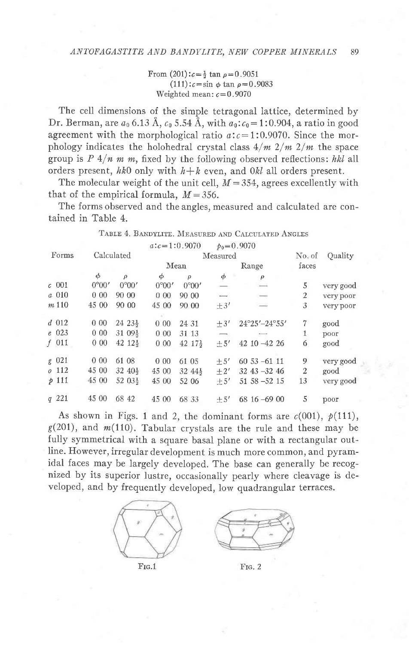From  $(201): c = \frac{1}{2} \tan \rho = 0.9051$  $(111): c = \sin \phi \tan \rho = 0.9083$ Weighted mean:  $c = 0.9070$ 

The cell dimensions of the simple tetragonal lattice, determined by Dr. Berman, are  $a_0$  6.13 Å,  $c_0$  5.54 Å, with  $a_0$ :  $c_0$  = 1:0.904, a ratio in good agreement with the morphological ratio  $a: c = 1:0.9070$ . Since the morphology indicates the holohedral crystal class  $4/m \frac{2}{m} \frac{2}{m}$  the space group is  $P \frac{4}{n m} m$ , fixed by the following observed reflections: hkl all orders present, hk0 only with  $h+k$  even, and 0kl all orders present.

The molecular weight of the unit cell,  $M = 354$ , agrees excellently with that of the empirical formula,  $M = 356$ .

The forms observed and the angles, measured and calculated are contained in Table 4.

| Forms          | Calculated      |                     | $a:c=1:0.9070$  |                     | Measured | $p_0 = 0.9070$  | No. of | Quality   |
|----------------|-----------------|---------------------|-----------------|---------------------|----------|-----------------|--------|-----------|
|                |                 |                     | Mean            |                     |          | Range           | faces  |           |
|                | φ               | $\rho$              | φ               | $\rho$              | $\phi$   | $\rho$          |        |           |
| $\epsilon$ 001 | $0^{\circ}00'$  | 0°00'               | 0°00'           | 0°00'               |          | $rac{1}{2}$     | 5      | very good |
| a 010          | 000             | 90 00               | 0 <sub>00</sub> | 90 00               | <b>.</b> | $\frac{1}{2}$   | 2      | very poor |
| $m$ 110        | 45 00           | 90 00               | 45 00           | 90 00               | $+3'$    |                 | 3      | very poor |
|                |                 |                     |                 |                     |          |                 |        |           |
| $d$ 012        | 000             | $24\;23\frac{1}{2}$ | 0 <sub>00</sub> | 24 31               | $+3'$    | 24°25'-24°55'   | 7      | good      |
| $e$ 023        | 0 <sub>00</sub> | $3109\frac{1}{2}$   | 000             | 31 13               |          |                 | 1      | poor      |
| $f$ 011        | 000             | $42\;12\frac{1}{2}$ | $0\,00$         | $42.17\frac{1}{2}$  | $+5'$    | 42 10 -42 26    | 6      | good      |
| g 021          | 000             | 61 08               | 0.00            | 61 05               | $+5'$    | $6053 - 6111$   | 9      | very good |
| $0\quad112$    | 45 00           | $32\;40\frac{1}{2}$ | 45 00           | $32\;44\frac{1}{2}$ | $+2'$    | $32$ 43 - 32 46 | 2      | good      |
| $p$ 111        | 45 00           | 52 03}              | 45 00           | 52 06               | $+5'$    | $5158 - 5215$   | 13     | very good |
| q221           | 45 00           | 68 42               | 45 00           | 68 33               | $+5'$    | $6816 - 6900$   | 5      | poor      |

TABLE 4. BANDYLITE. MEASURED AND CALCULATED ANGLES

As shown in Figs. 1 and 2, the dominant forms are  $c(001)$ ,  $p(111)$ ,  $g(201)$ , and  $m(110)$ . Tabular crystals are the rule and these may be fully symmetrical with a square basal plane or with a rectangular outline. However, irregular development is much more common, and pyramidal faces may be largely developed. The base can generally be recognized by its superior lustre, occasionally pearly where cleavage is developed, and by frequently developed, low quadrangular terraces.